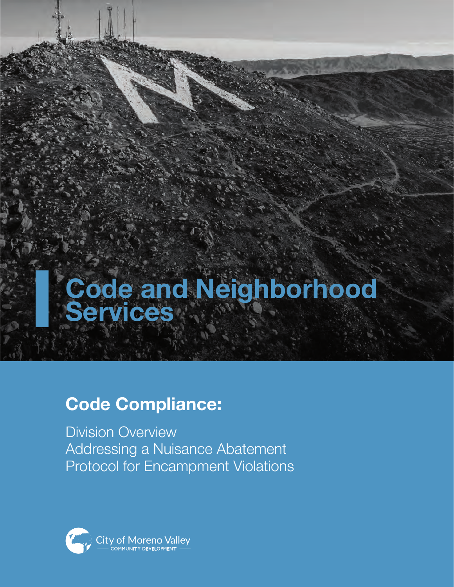# **Code and Neighborhood Services**

# **Code Compliance:**

Division Overview Addressing a Nuisance Abatement Protocol for Encampment Violations

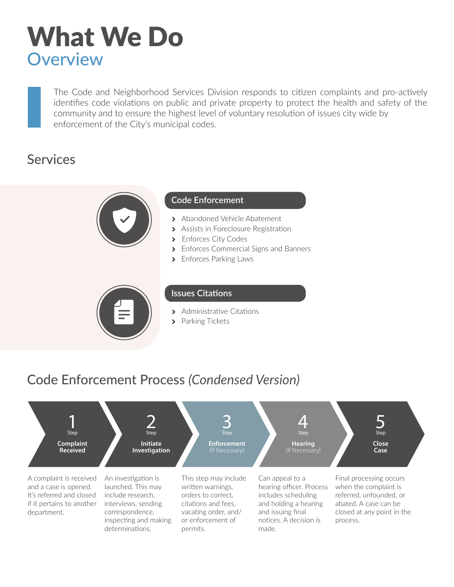# What We Do **Overview**

The Code and Neighborhood Services Division responds to citizen complaints and pro-actively identifies code violations on public and private property to protect the health and safety of the community and to ensure the highest level of voluntary resolution of issues city wide by enforcement of the City's municipal codes.

# Services



### **Code Enforcement**

- > Abandoned Vehicle Abatement
- > Assists in Foreclosure Registration
- > Enforces City Codes
- > Enforces Commercial Signs and Banners
- > Enforces Parking Laws



#### **Issues Citations**

- > Administrative Citations
- > Parking Tickets

# Code Enforcement Process *(Condensed Version)*

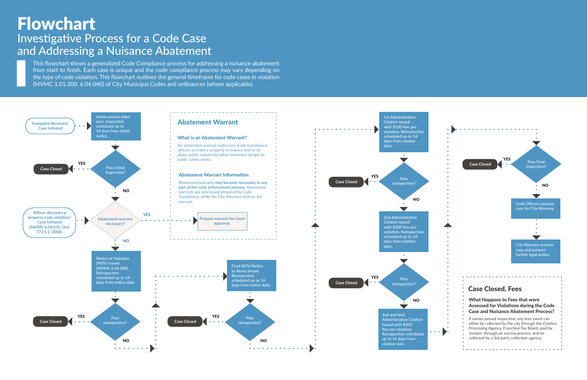# Flowchart Investigative Process for a Code Case and Addressing a Nuisance Abatement

This flowchart shows a generalized Code Compliance process for addressing a nuisance abatement from start to finish. Each case is unique and the code compliance process may vary depending on the type of code violation. This flowchart outlines the general timeframe for code cases in violation (MVMC 1.01.200, 6.04.040) of City Municipal Codes and ordinances (where applicable).